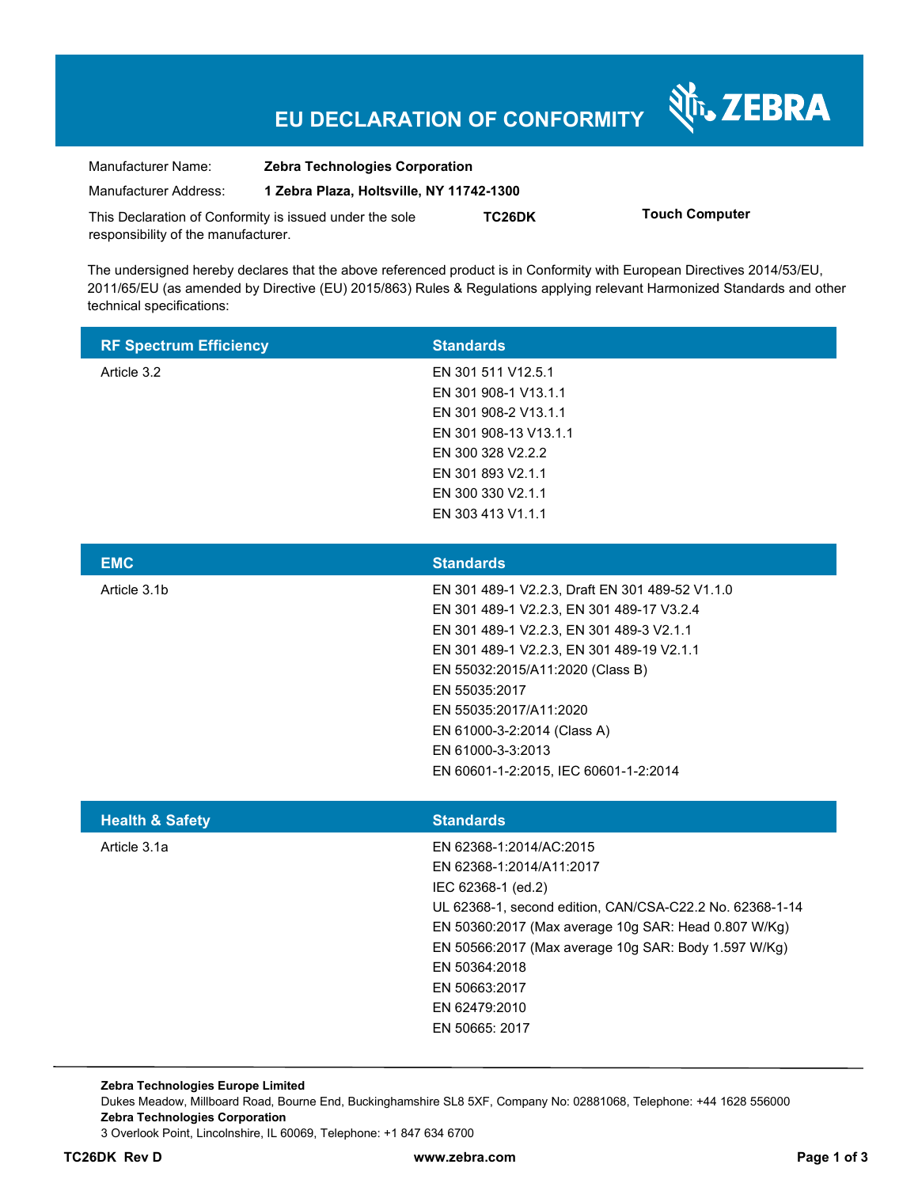# **EU DECLARATION OF CONFORMITY**

Nr. ZEBRA

| Manufacturer Name:                                      | <b>Zebra Technologies Corporation</b>    |        |                       |
|---------------------------------------------------------|------------------------------------------|--------|-----------------------|
| Manufacturer Address:                                   | 1 Zebra Plaza, Holtsville, NY 11742-1300 |        |                       |
| This Declaration of Conformity is issued under the sole |                                          | TC26DK | <b>Touch Computer</b> |
| responsibility of the manufacturer.                     |                                          |        |                       |

The undersigned hereby declares that the above referenced product is in Conformity with European Directives 2014/53/EU, 2011/65/EU (as amended by Directive (EU) 2015/863) Rules & Regulations applying relevant Harmonized Standards and other technical specifications:

| <b>RF Spectrum Efficiency</b> | <b>Standards</b>      |
|-------------------------------|-----------------------|
| Article 3.2                   | EN 301 511 V12.5.1    |
|                               | EN 301 908-1 V13.1.1  |
|                               | EN 301 908-2 V13.1.1  |
|                               | EN 301 908-13 V13.1.1 |
|                               | EN 300 328 V2.2.2     |
|                               | EN 301 893 V2.1.1     |
|                               | EN 300 330 V2.1.1     |
|                               | EN 303 413 V1.1.1     |

| <b>EMC</b>   | <b>Standards</b>                                |
|--------------|-------------------------------------------------|
| Article 3.1b | EN 301 489-1 V2.2.3, Draft EN 301 489-52 V1.1.0 |
|              | EN 301 489-1 V2.2.3, EN 301 489-17 V3.2.4       |
|              | EN 301 489-1 V2.2.3, EN 301 489-3 V2.1.1        |
|              | EN 301 489-1 V2.2.3, EN 301 489-19 V2.1.1       |
|              | EN 55032:2015/A11:2020 (Class B)                |
|              | EN 55035:2017                                   |
|              | EN 55035:2017/A11:2020                          |
|              | EN 61000-3-2:2014 (Class A)                     |
|              | EN 61000-3-3:2013                               |
|              | EN 60601-1-2:2015. IEC 60601-1-2:2014           |
|              |                                                 |

| <b>Standards</b>                                         |
|----------------------------------------------------------|
| EN 62368-1:2014/AC:2015                                  |
| EN 62368-1:2014/A11:2017                                 |
| IEC 62368-1 (ed.2)                                       |
| UL 62368-1, second edition, CAN/CSA-C22.2 No. 62368-1-14 |
| EN 50360:2017 (Max average 10g SAR: Head 0.807 W/Kg)     |
| EN 50566:2017 (Max average 10g SAR: Body 1.597 W/Kg)     |
| EN 50364:2018                                            |
| EN 50663:2017                                            |
| EN 62479:2010                                            |
| EN 50665: 2017                                           |
|                                                          |

**Zebra Technologies Europe Limited**  Dukes Meadow, Millboard Road, Bourne End, Buckinghamshire SL8 5XF, Company No: 02881068, Telephone: +44 1628 556000 **Zebra Technologies Corporation**  3 Overlook Point, Lincolnshire, IL 60069, Telephone: +1 847 634 6700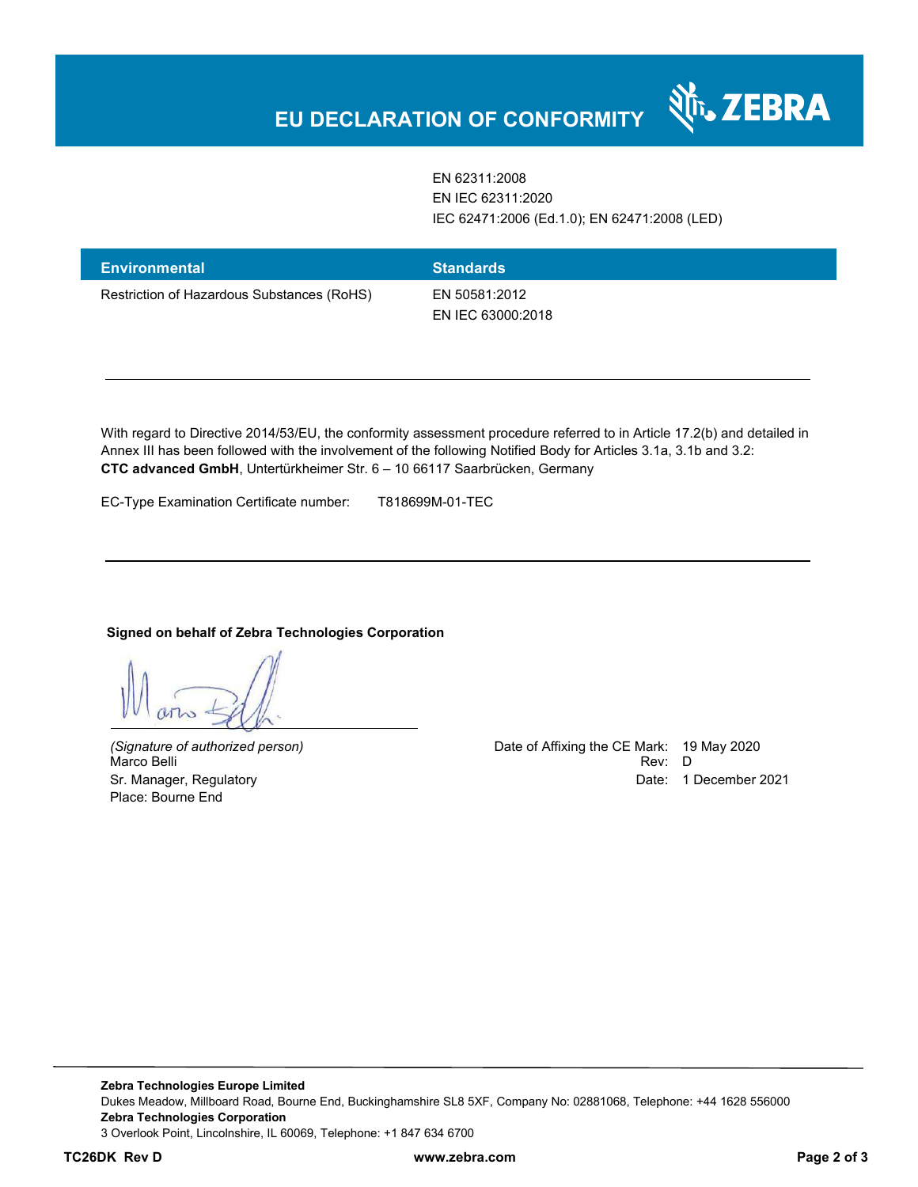EN 62311:2008 EN IEC 62311:2020 IEC 62471:2006 (Ed.1.0); EN 62471:2008 (LED)

र्शे<sub>ं</sub> ZEBRA

| <b>Environmental</b>                       | <b>Standards</b>                   |
|--------------------------------------------|------------------------------------|
| Restriction of Hazardous Substances (RoHS) | EN 50581:2012<br>EN IEC 63000:2018 |

With regard to Directive 2014/53/EU, the conformity assessment procedure referred to in Article 17.2(b) and detailed in Annex III has been followed with the involvement of the following Notified Body for Articles 3.1a, 3.1b and 3.2: **CTC advanced GmbH**, Untertürkheimer Str. 6 – 10 66117 Saarbrücken, Germany

EC-Type Examination Certificate number: T818699M-01-TEC

#### **Signed on behalf of Zebra Technologies Corporation**

Place: Bourne End

*(Signature of authorized person)* Date of Affixing the CE Mark: 19 May 2020 Marco Belli Rev: D Sr. Manager, Regulatory **Date: 1 December 2021** Control of the United States of the Date: 1 December 2021